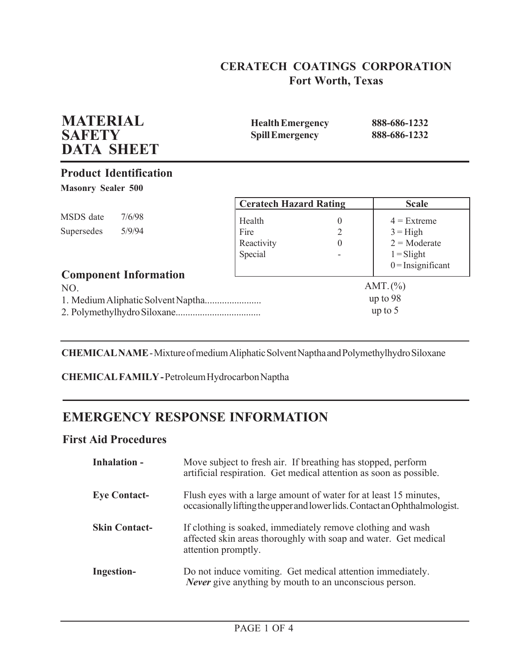# **CERATECH COATINGS CORPORATION Fort Worth, Texas**

| <b>MATERIAL</b><br><b>SAFETY</b><br><b>DATA SHEET</b> |        | <b>Health Emergency</b><br><b>Spill Emergency</b> |          | 888-686-1232<br>888-686-1232 |
|-------------------------------------------------------|--------|---------------------------------------------------|----------|------------------------------|
| <b>Product Identification</b>                         |        |                                                   |          |                              |
| <b>Masonry Sealer 500</b>                             |        |                                                   |          |                              |
|                                                       |        | <b>Ceratech Hazard Rating</b>                     |          | <b>Scale</b>                 |
| MSDS date                                             | 7/6/98 | Health                                            | $\theta$ | $4$ = Extreme                |
| Supersedes                                            | 5/9/94 | Fire                                              | 2        | $3 =$ High                   |
|                                                       |        | Reactivity                                        | $\Omega$ | $2 = \text{Modern}$          |
|                                                       |        | Special                                           |          | $1 =$ Slight                 |
| <b>Component Information</b>                          |        |                                                   |          | $0 =$ Insignificant          |
| NO.                                                   |        |                                                   |          | AMT. $(\%)$                  |
|                                                       |        |                                                   |          | up to $98$                   |
|                                                       |        |                                                   |          | up to $5$                    |

**CHEMICAL NAME** - Mixture of medium Aliphatic Solvent Naptha and Polymethylhydro Siloxane

**CHEMICAL FAMILY -** Petroleum Hydrocarbon Naptha

# **EMERGENCY RESPONSE INFORMATION**

## **First Aid Procedures**

| Inhalation -         | Move subject to fresh air. If breathing has stopped, perform<br>artificial respiration. Get medical attention as soon as possible.                    |
|----------------------|-------------------------------------------------------------------------------------------------------------------------------------------------------|
| <b>Eye Contact-</b>  | Flush eyes with a large amount of water for at least 15 minutes,<br>occasionally lifting the upper and lower lids. Contact an Ophthalmologist.        |
| <b>Skin Contact-</b> | If clothing is soaked, immediately remove clothing and wash<br>affected skin areas thoroughly with soap and water. Get medical<br>attention promptly. |
| Ingestion-           | Do not induce vomiting. Get medical attention immediately.<br><i>Never</i> give anything by mouth to an unconscious person.                           |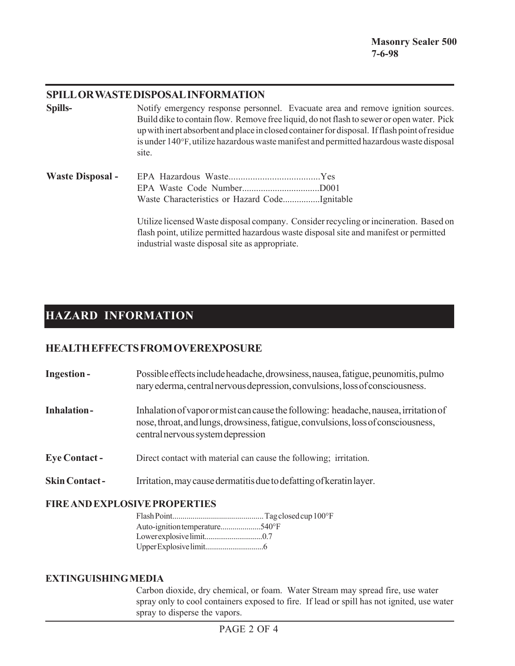### **SPILL OR WASTE DISPOSAL INFORMATION**

| Spills-                 | Notify emergency response personnel. Evacuate area and remove ignition sources.<br>Build dike to contain flow. Remove free liquid, do not flash to sewer or open water. Pick<br>up with inert absorbent and place in closed container for disposal. If flash point of residue<br>is under 140°F, utilize hazardous waste manifest and permitted hazardous waste disposal<br>site. |  |
|-------------------------|-----------------------------------------------------------------------------------------------------------------------------------------------------------------------------------------------------------------------------------------------------------------------------------------------------------------------------------------------------------------------------------|--|
| <b>Waste Disposal -</b> |                                                                                                                                                                                                                                                                                                                                                                                   |  |

Utilize licensed Waste disposal company. Consider recycling or incineration. Based on flash point, utilize permitted hazardous waste disposal site and manifest or permitted industrial waste disposal site as appropriate.

# **HAZARD INFORMATION**

## **HEALTH EFFECTS FROM OVEREXPOSURE**

| <b>Ingestion-</b>     | Possible effects include headache, drowsiness, nausea, fatigue, peunomitis, pulmo<br>nary ederma, central nervous depression, convulsions, loss of consciousness.                                              |
|-----------------------|----------------------------------------------------------------------------------------------------------------------------------------------------------------------------------------------------------------|
| <b>Inhalation-</b>    | Inhalation of vapor or mist can cause the following: headache, nausea, irritation of<br>nose, throat, and lungs, drowsiness, fatigue, convulsions, loss of consciousness,<br>central nervous system depression |
| <b>Eye Contact -</b>  | Direct contact with material can cause the following; irritation.                                                                                                                                              |
| <b>Skin Contact -</b> | Irritation, may cause dermatitis due to defatting of keratin layer.                                                                                                                                            |

### **FIRE AND EXPLOSIVE PROPERTIES**

| Auto-ignition temperature540°F |  |
|--------------------------------|--|
|                                |  |
|                                |  |

#### **EXTINGUISHING MEDIA**

Carbon dioxide, dry chemical, or foam. Water Stream may spread fire, use water spray only to cool containers exposed to fire. If lead or spill has not ignited, use water spray to disperse the vapors.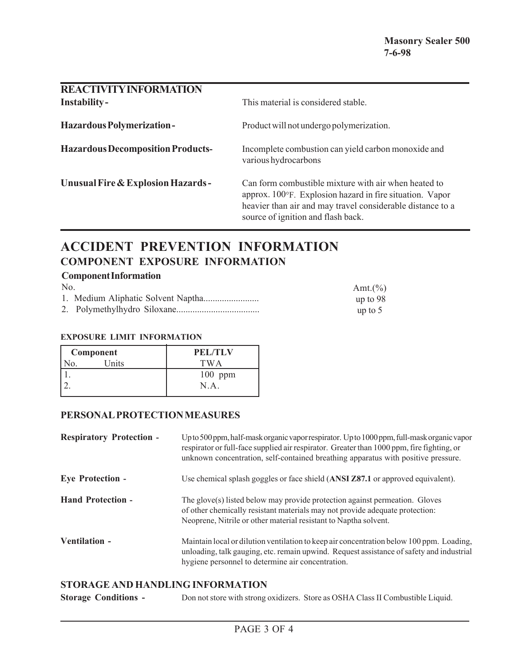| <b>REACTIVITY INFORMATION</b><br><b>Instability-</b> | This material is considered stable.                                                                                                                                                                                  |
|------------------------------------------------------|----------------------------------------------------------------------------------------------------------------------------------------------------------------------------------------------------------------------|
| <b>Hazardous Polymerization-</b>                     | Product will not undergo polymerization.                                                                                                                                                                             |
| <b>Hazardous Decomposition Products-</b>             | Incomplete combustion can yield carbon monoxide and<br>various hydrocarbons                                                                                                                                          |
| Unusual Fire & Explosion Hazards-                    | Can form combustible mixture with air when heated to<br>approx. 100°F. Explosion hazard in fire situation. Vapor<br>heavier than air and may travel considerable distance to a<br>source of ignition and flash back. |

# **ACCIDENT PREVENTION INFORMATION COMPONENT EXPOSURE INFORMATION**

### **Component Information**

| No. | Amt. $(\% )$ |
|-----|--------------|
|     | up to 98     |
|     | up to $5$    |

#### **EXPOSURE LIMIT INFORMATION**

| Component |       | <b>PEL/TLV</b> |
|-----------|-------|----------------|
|           | Units | TWA            |
|           |       | $100$ ppm      |
|           |       | N.A.           |
|           |       |                |

#### **PERSONAL PROTECTION MEASURES**

| <b>Respiratory Protection -</b> | Up to 500 ppm, half-mask organic vapor respirator. Up to 1000 ppm, full-mask organic vapor<br>respirator or full-face supplied air respirator. Greater than 1000 ppm, fire fighting, or<br>unknown concentration, self-contained breathing apparatus with positive pressure. |
|---------------------------------|------------------------------------------------------------------------------------------------------------------------------------------------------------------------------------------------------------------------------------------------------------------------------|
| <b>Eye Protection -</b>         | Use chemical splash goggles or face shield (ANSI Z87.1 or approved equivalent).                                                                                                                                                                                              |
| <b>Hand Protection -</b>        | The glove(s) listed below may provide protection against permeation. Gloves<br>of other chemically resistant materials may not provide adequate protection:<br>Neoprene, Nitrile or other material resistant to Naptha solvent.                                              |
| Ventilation -                   | Maintain local or dilution ventilation to keep air concentration below 100 ppm. Loading,<br>unloading, talk gauging, etc. remain upwind. Request assistance of safety and industrial<br>hygiene personnel to determine air concentration.                                    |

### **STORAGE AND HANDLING INFORMATION**

**Storage Conditions -** Don not store with strong oxidizers. Store as OSHA Class II Combustible Liquid.